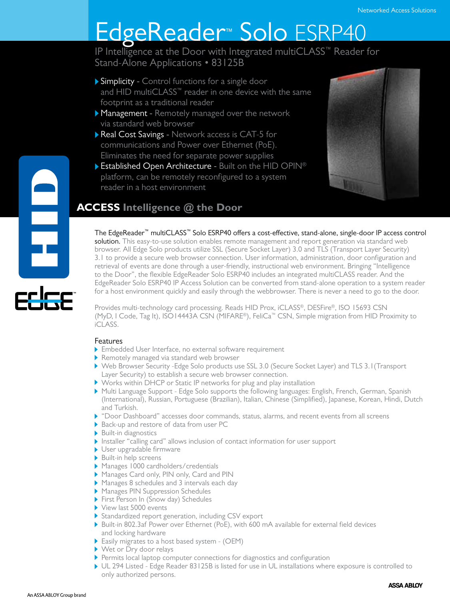# EdgeReader™ Solo ESRP40

IP Intelligence at the Door with Integrated multiCLASS™ Reader for Stand-Alone Applications • 83125B

- Simplicity Control functions for a single door and HID multiCLASS™ reader in one device with the same footprint as a traditional reader
- **Management** Remotely managed over the network via standard web browser
- Real Cost Savings Network access is CAT-5 for communications and Power over Ethernet (PoE). Eliminates the need for separate power supplies
- **Established Open Architecture Built on the HID OPIN®** platform, can be remotely reconfigured to a system reader in a host environment



# **ACCESS Intelligence @ the Door**

The EdgeReader™ multiCLASS™ Solo ESRP40 offers a cost-effective, stand-alone, single-door IP access control solution. This easy-to-use solution enables remote management and report generation via standard web browser. All Edge Solo products utilize SSL (Secure Socket Layer) 3.0 and TLS (Transport Layer Security)

3.1 to provide a secure web browser connection. User information, administration, door configuration and retrieval of events are done through a user-friendly, instructional web environment. Bringing "Intelligence to the Door", the flexible EdgeReader Solo ESRP40 includes an integrated multiCLASS reader. And the EdgeReader Solo ESRP40 IP Access Solution can be converted from stand-alone operation to a system reader for a host environment quickly and easily through the webbrowser. There is never a need to go to the door.

Provides multi-technology card processing. Reads HID Prox, iCLASS®, DESFire®, ISO 15693 CSN (MyD, I Code, Tag It), ISO14443A CSN (MIFARE®), FeliCa™ CSN, Simple migration from HID Proximity to iCLASS.

## Features

e<br>Hull

- Embedded User Interface, no external software requirement
- Remotely managed via standard web browser
- Web Browser Security -Edge Solo products use SSL 3.0 (Secure Socket Layer) and TLS 3.1(Transport Layer Security) to establish a secure web browser connection.
- Works within DHCP or Static IP networks for plug and play installation
- Multi Language Support Edge Solo supports the following languages: English, French, German, Spanish (International), Russian, Portuguese (Brazilian), Italian, Chinese (Simplified), Japanese, Korean, Hindi, Dutch and Turkish.
- "Door Dashboard" accesses door commands, status, alarms, and recent events from all screens
- ▶ Back-up and restore of data from user PC
- Built-in diagnostics
- Installer "calling card" allows inclusion of contact information for user support
- User upgradable firmware
- Built-in help screens
- Manages 1000 cardholders/credentials
- Manages Card only, PIN only, Card and PIN
- Manages 8 schedules and 3 intervals each day
- Manages PIN Suppression Schedules
- First Person In (Snow day) Schedules
- View last 5000 events
- Standardized report generation, including CSV export
- Built-in 802.3af Power over Ethernet (PoE), with 600 mA available for external field devices and locking hardware
- Easily migrates to a host based system (OEM)
- Wet or Dry door relays
- Permits local laptop computer connections for diagnostics and configuration
- UL 294 Listed Edge Reader 83125B is listed for use in UL installations where exposure is controlled to only authorized persons.